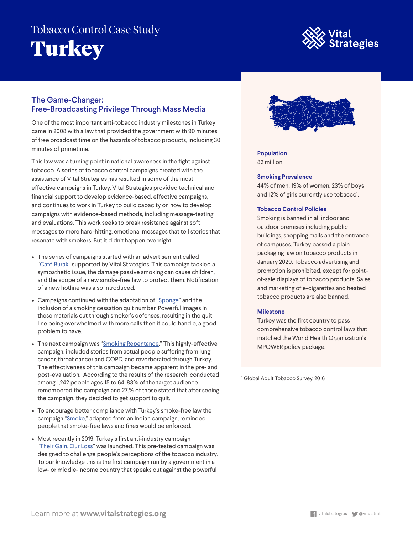# Tobacco Control Case Study **Turkey**



## The Game-Changer: Free-Broadcasting Privilege Through Mass Media

One of the most important anti-tobacco industry milestones in Turkey came in 2008 with a law that provided the government with 90 minutes of free broadcast time on the hazards of tobacco products, including 30 minutes of primetime.

This law was a turning point in national awareness in the fight against tobacco. A series of tobacco control campaigns created with the assistance of Vital Strategies has resulted in some of the most effective campaigns in Turkey. Vital Strategies provided technical and financial support to develop evidence-based, effective campaigns, and continues to work in Turkey to build capacity on how to develop campaigns with evidence-based methods, including message-testing and evaluations. This work seeks to break resistance against soft messages to more hard-hitting, emotional messages that tell stories that resonate with smokers. But it didn't happen overnight.

- The series of campaigns started with an advertisement called "Café Burak" supported by Vital Strategies. This campaign tackled a sympathetic issue, the damage passive smoking can cause children, and the scope of a new smoke-free law to protect them. Notification of a new hotline was also introduced.
- Campaigns continued with the adaptation of "Sponge" and the inclusion of a smoking cessation quit number. Powerful images in these materials cut through smoker's defenses, resulting in the quit line being overwhelmed with more calls then it could handle, a good problem to have.
- The next campaign was "Smoking Repentance." This highly-effective campaign, included stories from actual people suffering from lung cancer, throat cancer and COPD, and reverberated through Turkey. The effectiveness of this campaign became apparent in the pre- and post-evaluation. According to the results of the research, conducted among 1,242 people ages 15 to 64, 83% of the target audience remembered the campaign and 27.% of those stated that after seeing the campaign, they decided to get support to quit.
- To encourage better compliance with Turkey's smoke-free law the campaign "Smoke," adapted from an Indian campaign, reminded people that smoke-free laws and fines would be enforced.
- Most recently in 2019, Turkey's first anti-industry campaign "Their Gain, Our Loss" was launched. This pre-tested campaign was designed to challenge people's perceptions of the tobacco industry. To our knowledge this is the first campaign run by a government in a low- or middle-income country that speaks out against the powerful



**Population** 82 million

### **Smoking Prevalence**

44% of men, 19% of women, 23% of boys and 12% of girls currently use tobacco<sup>1</sup>.

#### **Tobacco Control Policies**

Smoking is banned in all indoor and outdoor premises including public buildings, shopping malls and the entrance of campuses. Turkey passed a plain packaging law on tobacco products in January 2020. Tobacco advertising and promotion is prohibited, except for pointof-sale displays of tobacco products. Sales and marketing of e-cigarettes and heated tobacco products are also banned.

#### **Milestone**

Turkey was the first country to pass comprehensive tobacco control laws that matched the World Health Organization's MPOWER policy package.

<sup>1</sup> Global Adult Tobacco Survey, 2016